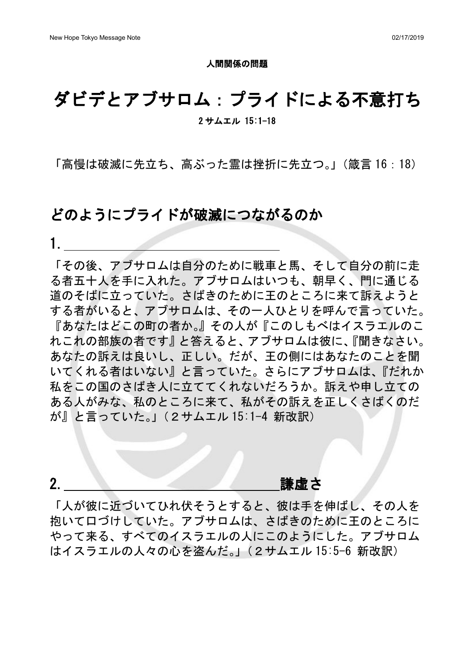#### 人間関係の問題

# ダビデとアブサロム:プライドによる不意打ち

2 サムエル 15:1-18

「高慢は破滅に先立ち、高ぶった霊は挫折に先立つ。」(箴言 16:18)

### どのようにプライドが破滅につながるのか

1.

「その後、アブサロムは自分のために戦車と馬、そして自分の前に走 る者五十人を手に入れた。アブサロムはいつも、朝早く、門に通じる 道のそばに立っていた。さばきのために王のところに来て訴えようと する者がいると、アブサロムは、その一人ひとりを呼んで言っていた。 『あなたはどこの町の者か。』その人が『このしもべはイスラエルのこ れこれの部族の者です』と答えると、アブサロムは彼に、『聞きなさい。 あなたの訴えは良いし、正しい。だが、王の側にはあなたのことを聞 いてくれる者はいない』と言っていた。さらにアブサロムは、『だれか 私をこの国のさばき人に立ててくれないだろうか。訴えや申し立ての ある人がみな、私のところに来て、私がその訴えを正しくさばくのだ が』と言っていた。」(2サムエル 15:1-4 新改訳)

2. 謙虚さ

「人が彼に近づいてひれ伏そうとすると、彼は手を伸ばし、その人を 抱いて口づけしていた。アブサロムは、さばきのために王のところに やって来る、すべてのイスラエルの人にこのようにした。アブサロム はイスラエルの人々の心を盗んだ。」(2サムエル 15:5-6 新改訳)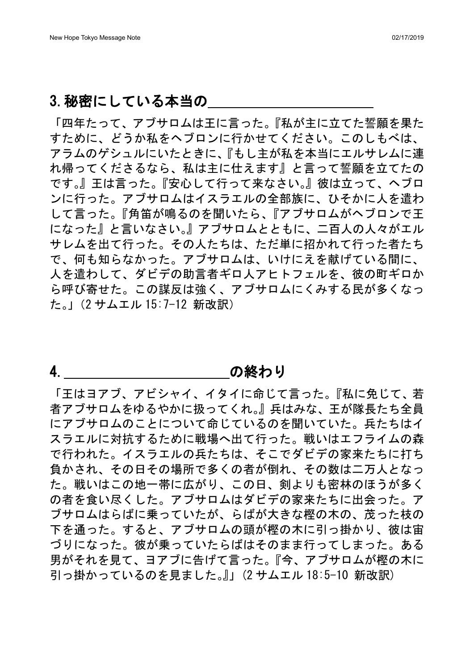### 3.秘密にしている本当の

「四年たって、アブサロムは王に言った。『私が主に立てた誓願を果た すために、どうか私をヘブロンに行かせてください。このしもべは、 アラムのゲシュルにいたときに、『もし主が私を本当にエルサレムに連 れ帰ってくださるなら、私は主に仕えます』と言って誓願を立てたの です。』王は言った。『安心して行って来なさい。』彼は立って、ヘブロ ンに行った。アブサロムはイスラエルの全部族に、ひそかに人を遣わ して言った。『角笛が鳴るのを聞いたら、『アブサロムがヘブロンで王 になった』と言いなさい。』アブサロムとともに、二百人の人々がエル サレムを出て行った。その人たちは、ただ単に招かれて行った者たち で、何も知らなかった。アブサロムは、いけにえを献げている間に、 人を遣わして、ダビデの助言者ギロ人アヒトフェルを、彼の町ギロか ら呼び寄せた。この謀反は強く、アブサロムにくみする民が多くなっ た。」(2 サムエル 15:7-12 新改訳)

### 4. \_\_\_\_\_\_\_\_\_\_\_\_\_\_\_\_\_\_\_\_\_\_\_\_\_\_\_\_\_\_\_\_\_\_\_の終わり

「王はヨアブ、アビシャイ、イタイに命じて言った。『私に免じて、若 者アブサロムをゆるやかに扱ってくれ。』兵はみな、王が隊長たち全員 にアブサロムのことについて命じているのを聞いていた。兵たちはイ スラエルに対抗するために戦場へ出て行った。戦いはエフライムの森 で行われた。イスラエルの兵たちは、そこでダビデの家来たちに打ち 負かされ、その日その場所で多くの者が倒れ、その数は二万人となっ た。戦いはこの地一帯に広がり、この日、剣よりも密林のほうが多く の者を食い尽くした。アブサロムはダビデの家来たちに出会った。ア ブサロムはらばに乗っていたが、らばが大きな樫の木の、茂った枝の 下を通った。すると、アブサロムの頭が樫の木に引っ掛かり、彼は宙 づりになった。彼が乗っていたらばはそのまま行ってしまった。ある 男がそれを見て、ヨアブに告げて言った。『今、アブサロムが樫の木に 引っ掛かっているのを見ました。』」(2 サムエル 18:5-10 新改訳)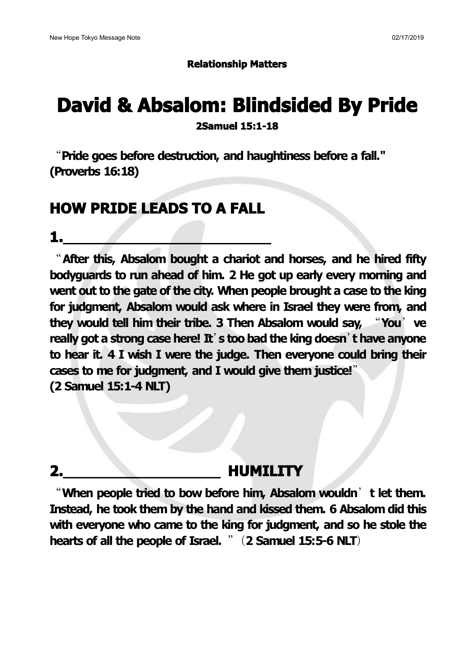### **Relationship Matters**

# **David & Absalom: Blindsided By Pride**

**2Samuel 15:1-18**

"**Pride goes before destruction, and haughtiness before a fall." (Proverbs 16:18)**

## **HOW PRIDE LEADS TO A FALL**

**1.**

"**After this, Absalom bought a chariot and horses, and he hired fifty bodyguards to run ahead of him. 2 He got up early every morning and went out to the gate of the city. When people brought a case to the king for judgment, Absalom would ask where in Israel they were from, and they would tell him their tribe. 3 Then Absalom would say,** "**You**'**ve really got a strong case here! It**'**s too bad the king doesn**'**t have anyone to hear it. 4 I wish I were the judge. Then everyone could bring their cases to me for judgment, and I would give them justice!**" **(2 Samuel 15:1-4 NLT)**

### **2. HUMILITY**

"**When people tried to bow before him, Absalom wouldn**'**t let them. Instead, he took them by the hand and kissed them. 6 Absalom did this with everyone who came to the king for judgment, and so he stole the hearts of all the people of Israel.** "(**2 Samuel 15:5-6 NLT**)